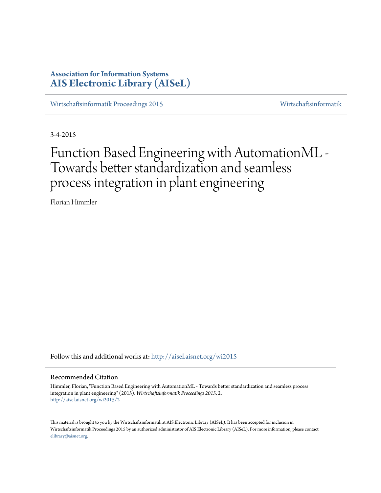# **Association for Information Systems [AIS Electronic Library \(AISeL\)](http://aisel.aisnet.org?utm_source=aisel.aisnet.org%2Fwi2015%2F2&utm_medium=PDF&utm_campaign=PDFCoverPages)**

[Wirtschaftsinformatik Proceedings 2015](http://aisel.aisnet.org/wi2015?utm_source=aisel.aisnet.org%2Fwi2015%2F2&utm_medium=PDF&utm_campaign=PDFCoverPages) [Wirtschaftsinformatik](http://aisel.aisnet.org/wi?utm_source=aisel.aisnet.org%2Fwi2015%2F2&utm_medium=PDF&utm_campaign=PDFCoverPages)

3-4-2015

# Function Based Engineering with AutomationML - Towards better standardization and seamless process integration in plant engineering

Florian Himmler

Follow this and additional works at: [http://aisel.aisnet.org/wi2015](http://aisel.aisnet.org/wi2015?utm_source=aisel.aisnet.org%2Fwi2015%2F2&utm_medium=PDF&utm_campaign=PDFCoverPages)

#### Recommended Citation

Himmler, Florian, "Function Based Engineering with AutomationML - Towards better standardization and seamless process integration in plant engineering" (2015). *Wirtschaftsinformatik Proceedings 2015*. 2. [http://aisel.aisnet.org/wi2015/2](http://aisel.aisnet.org/wi2015/2?utm_source=aisel.aisnet.org%2Fwi2015%2F2&utm_medium=PDF&utm_campaign=PDFCoverPages)

This material is brought to you by the Wirtschaftsinformatik at AIS Electronic Library (AISeL). It has been accepted for inclusion in Wirtschaftsinformatik Proceedings 2015 by an authorized administrator of AIS Electronic Library (AISeL). For more information, please contact [elibrary@aisnet.org.](mailto:elibrary@aisnet.org%3E)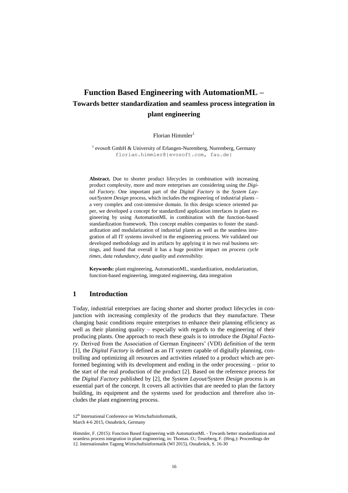# **Function Based Engineering with AutomationML – Towards better standardization and seamless process integration in plant engineering**

 $Florian Himmler<sup>1</sup>$ 

<sup>1</sup> evosoft GmbH & University of Erlangen-Nuremberg, Nuremberg, Germany [florian.himmler@{evosoft.com, fau.de}](mailto:florian.himmler@%7bevosoft.com,%20fau.de)

**Abstract.** Due to shorter product lifecycles in combination with increasing product complexity, more and more enterprises are considering using the *Digital Factory*. One important part of the *Digital Factory* is the *System Layout/System Design* process, which includes the engineering of industrial plants – a very complex and cost-intensive domain. In this design science oriented paper, we developed a concept for standardized application interfaces in plant engineering by using AutomationML in combination with the function-based standardization framework. This concept enables companies to foster the standardization and modularization of industrial plants as well as the seamless integration of all IT systems involved in the engineering process. We validated our developed methodology and its artifacts by applying it in two real business settings, and found that overall it has a huge positive impact on *process cycle times*, *data redundancy*, *data quality* and *extensibility*.

**Keywords:** plant engineering, AutomationML, standardization, modularization, function-based engineering, integrated engineering, data integration

## **1 Introduction**

Today, industrial enterprises are facing shorter and shorter product lifecycles in conjunction with increasing complexity of the products that they manufacture. These changing basic conditions require enterprises to enhance their planning efficiency as well as their planning quality – especially with regards to the engineering of their producing plants. One approach to reach these goals is to introduce the *Digital Factory*. Derived from the Association of German Engineers' (VDI) definition of the term [1], the *Digital Factory* is defined as an IT system capable of digitally planning, controlling and optimizing all resources and activities related to a product which are performed beginning with its development and ending in the order processing – prior to the start of the real production of the product [2]. Based on the reference process for the *Digital Factory* published by [2], the *System Layout/System Design* process is an essential part of the concept. It covers all activities that are needed to plan the factory building, its equipment and the systems used for production and therefore also includes the plant engineering process.

<sup>12&</sup>lt;sup>th</sup> International Conference on Wirtschaftsinformatik. March 4-6 2015, Osnabrück, Germany

Himmler, F. (2015): Function Based Engineering with AutomationML - Towards better standardization and seamless process integration in plant engineering, in: Thomas. O.; Teuteberg, F. (Hrsg.): Proceedings der 12. Internationalen Tagung Wirtschaftsinformatik (WI 2015), Osnabrück, S. 16-30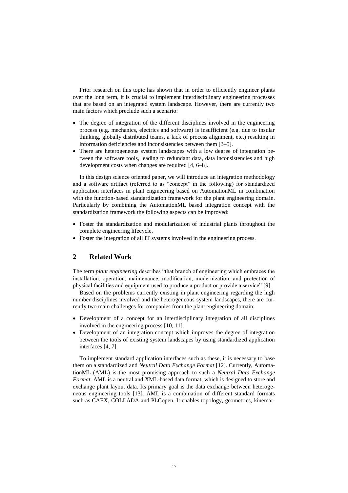Prior research on this topic has shown that in order to efficiently engineer plants over the long term, it is crucial to implement interdisciplinary engineering processes that are based on an integrated system landscape. However, there are currently two main factors which preclude such a scenario:

- The degree of integration of the different disciplines involved in the engineering process (e.g. mechanics, electrics and software) is insufficient (e.g. due to insular thinking, globally distributed teams, a lack of process alignment, etc.) resulting in information deficiencies and inconsistencies between them [3–5].
- There are heterogeneous system landscapes with a low degree of integration between the software tools, leading to redundant data, data inconsistencies and high development costs when changes are required [4, 6–8].

In this design science oriented paper, we will introduce an integration methodology and a software artifact (referred to as "concept" in the following) for standardized application interfaces in plant engineering based on AutomationML in combination with the function-based standardization framework for the plant engineering domain. Particularly by combining the AutomationML based integration concept with the standardization framework the following aspects can be improved:

- Foster the standardization and modularization of industrial plants throughout the complete engineering lifecycle.
- Foster the integration of all IT systems involved in the engineering process.

# **2 Related Work**

The term *plant engineering* describes "that branch of engineering which embraces the installation, operation, maintenance, modification, modernization, and protection of physical facilities and equipment used to produce a product or provide a service" [9].

Based on the problems currently existing in plant engineering regarding the high number disciplines involved and the heterogeneous system landscapes, there are currently two main challenges for companies from the plant engineering domain:

- Development of a concept for an interdisciplinary integration of all disciplines involved in the engineering process [10, 11].
- Development of an integration concept which improves the degree of integration between the tools of existing system landscapes by using standardized application interfaces [4, 7].

To implement standard application interfaces such as these, it is necessary to base them on a standardized and *Neutral Data Exchange Format* [12]. Currently, AutomationML (AML) is the most promising approach to such a *Neutral Data Exchange Format*. AML is a neutral and XML-based data format, which is designed to store and exchange plant layout data. Its primary goal is the data exchange between heterogeneous engineering tools [13]. AML is a combination of different standard formats such as CAEX, COLLADA and PLCopen. It enables topology, geometrics, kinemat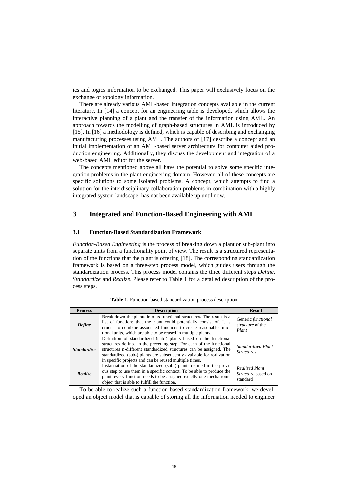ics and logics information to be exchanged. This paper will exclusively focus on the exchange of topology information.

There are already various AML-based integration concepts available in the current literature. In [14] a concept for an engineering table is developed, which allows the interactive planning of a plant and the transfer of the information using AML. An approach towards the modelling of graph-based structures in AML is introduced by [15]. In [16] a methodology is defined, which is capable of describing and exchanging manufacturing processes using AML. The authors of [17] describe a concept and an initial implementation of an AML-based server architecture for computer aided production engineering. Additionally, they discuss the development and integration of a web-based AML editor for the server.

The concepts mentioned above all have the potential to solve some specific integration problems in the plant engineering domain. However, all of these concepts are specific solutions to some isolated problems. A concept, which attempts to find a solution for the interdisciplinary collaboration problems in combination with a highly integrated system landscape, has not been available up until now.

#### **3 Integrated and Function-Based Engineering with AML**

#### **3.1 Function-Based Standardization Framework**

*Function-Based Engineering* is the process of breaking down a plant or sub-plant into separate units from a functionality point of view. The result is a structured representation of the functions that the plant is offering [18]. The corresponding standardization framework is based on a three-step process model, which guides users through the standardization process. This process model contains the three different steps *Define*, *Standardize* and *Realize*. Please refer to [Table 1](#page-3-0) for a detailed description of the process steps.

<span id="page-3-0"></span>

| <b>Process</b>            | <b>Description</b>                                                                                                                                                                                                                                                                                                                                 | <b>Result</b>                                           |
|---------------------------|----------------------------------------------------------------------------------------------------------------------------------------------------------------------------------------------------------------------------------------------------------------------------------------------------------------------------------------------------|---------------------------------------------------------|
| <b>Define</b>             | Break down the plants into its functional structures. The result is a<br>list of functions that the plant could potentially consist of. It is<br>crucial to combine associated functions to create reasonable func-<br>tional units, which are able to be reused in multiple plants.                                                               | Generic functional<br>structure of the<br>Plant         |
| <i><b>Standardize</b></i> | Definition of standardized (sub-) plants based on the functional<br>structures defined in the preceding step. For each of the functional<br>structures n-different standardized structures can be assigned. The<br>standardized (sub-) plants are subsequently available for realization<br>in specific projects and can be reused multiple times. | Standardized Plant<br><i><u>Structures</u></i>          |
| Realize                   | Instantiation of the standardized (sub-) plants defined in the previ-<br>ous step to use them in a specific context. To be able to produce the<br>plant, every function needs to be assigned exactly one mechatronic<br>object that is able to fulfill the function.                                                                               | <b>Realized Plant</b><br>Structure based on<br>standard |

**Table 1.** Function-based standardization process description

To be able to realize such a function-based standardization framework, we developed an object model that is capable of storing all the information needed to engineer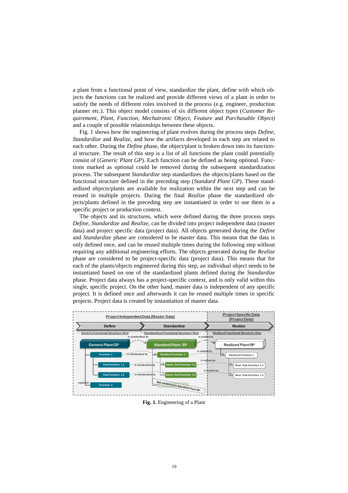a plant from a functional point of view, standardize the plant, define with which objects the functions can be realized and provide different views of a plant in order to satisfy the needs of different roles involved in the process (e.g. engineer, production planner etc.). This object model consists of six different object types (*Customer Requirement*, *Plant*, *Function*, *Mechatronic Object*, *Feature* and *Purchasable Object)*  and a couple of possible relationships between these objects.

[Fig. 1](#page-4-0) shows how the engineering of plant evolves during the process steps *Define*, *Standardize* and *Realize,* and how the artifacts developed in each step are related to each other. During the *Define* phase, the object/plant is broken down into its functional structure. The result of this step is a list of all functions the plant could potentially consist of (*Generic Plant GP*). Each function can be defined as being optional. Functions marked as optional could be removed during the subsequent standardization process. The subsequent *Standardize* step standardizes the objects/plants based on the functional structure defined in the preceding step (*Standard Plant GP*). These standardized objects/plants are available for realization within the next step and can be reused in multiple projects. During the final *Realize* phase the standardized objects/plants defined in the preceding step are instantiated in order to use them in a specific project or production context.

The objects and its structures, which were defined during the three process steps *Define*, *Standardize* and *Realize,* can be divided into project independent data (master data) and project specific data (project data). All objects generated during the *Define* and *Standardize* phase are considered to be master data. This means that the data is only defined once, and can be reused multiple times during the following step without requiring any additional engineering efforts. The objects generated during the *Realize* phase are considered to be project-specific data (project data). This means that for each of the plants/objects engineered during this step, an individual object needs to be instantiated based on one of the standardized plants defined during the *Standardize* phase. Project data always has a project-specific context, and is only valid within this single, specific project. On the other hand, master data is independent of any specific project. It is defined once and afterwards it can be reused multiple times in specific projects. Project data is created by instantiation of master data.



<span id="page-4-0"></span>**Fig. 1.** Engineering of a Plant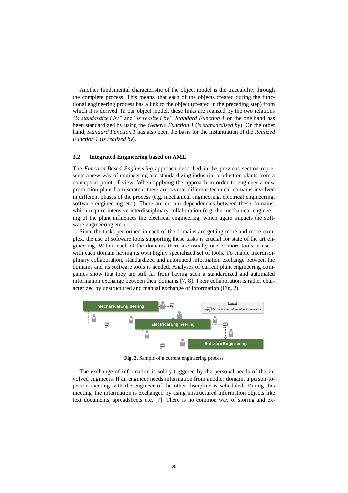Another fundamental characteristic of the object model is the traceability through the complete process. This means, that each of the objects created during the functional engineering process has a link to the object (created in the preceding step) from which it is derived. In our object model, these links are realized by the two relations "*is standardized by"* and "*is realized by"*. *Standard Function 1* on the one hand has been standardized by using the *Generic Function 1* (*is standardized by*). On the other hand, *Standard Function 1* has also been the basis for the instantiation of the *Realized Function 1* (*is realized by*).

#### **3.2 Integrated Engineering based on AML**

The *Function-Based Engineering* approach described in the previous section represents a new way of engineering and standardizing industrial production plants from a conceptual point of view. When applying the approach in order to engineer a new production plant from scratch, there are several different technical domains involved in different phases of the process (e.g. mechanical engineering, electrical engineering, software engineering etc.). There are certain dependencies between these domains, which require intensive interdisciplinary collaboration (e.g. the mechanical engineering of the plant influences the electrical engineering, which again impacts the software engineering etc.).

Since the tasks performed in each of the domains are getting more and more complex, the use of software tools supporting these tasks is crucial for state of the art engineering. Within each of the domains there are usually one or more tools in use – with each domain having its own highly specialized set of tools. To enable interdisciplinary collaboration, standardized and automated information exchange between the domains and its software tools is needed. Analyses of current plant engineering companies show that they are still far from having such a standardized and automated information exchange between their domains [7, 8]. Their collaboration is rather characterized by unstructured and manual exchange of information [\(Fig. 2\)](#page-5-0).



**Fig. 2.** Sample of a current engineering process

<span id="page-5-0"></span>The exchange of information is solely triggered by the personal needs of the involved engineers. If an engineer needs information from another domain, a person-toperson meeting with the engineer of the other discipline is scheduled. During this meeting, the information is exchanged by using unstructured information objects like text documents, spreadsheets etc. [7]. There is no common way of storing and ex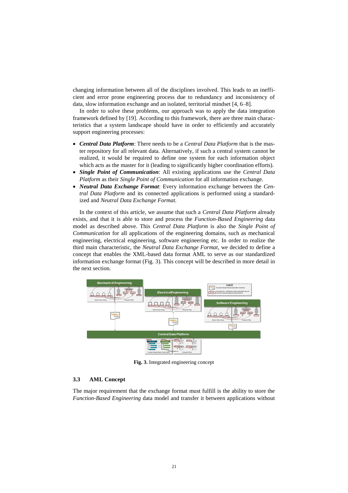changing information between all of the disciplines involved. This leads to an inefficient and error prone engineering process due to redundancy and inconsistency of data, slow information exchange and an isolated, territorial mindset [4, 6–8].

In order to solve these problems, our approach was to apply the data integration framework defined by [19]. According to this framework, there are three main characteristics that a system landscape should have in order to efficiently and accurately support engineering processes:

- *Central Data Platform*: There needs to be a *Central Data Platform* that is the master repository for all relevant data. Alternatively, if such a central system cannot be realized, it would be required to define one system for each information object which acts as the master for it (leading to significantly higher coordination efforts).
- *Single Point of Communication*: All existing applications use the *Central Data Platform* as their *Single Point of Communication* for all information exchange.
- *Neutral Data Exchange Format*: Every information exchange between the *Central Data Platform* and its connected applications is performed using a standardized and *Neutral Data Exchange Format.*

In the context of this article, we assume that such a *Central Data Platform* already exists, and that it is able to store and process the *Function-Based Engineering* data model as described above. This *Central Data Platform* is also the *Single Point of Communication* for all applications of the engineering domains, such as mechanical engineering, electrical engineering, software engineering etc. In order to realize the third main characteristic, the *Neutral Data Exchange Format*, we decided to define a concept that enables the XML-based data format AML to serve as our standardized information exchange format [\(Fig. 3\)](#page-6-0). This concept will be described in more detail in the next section.



**Fig. 3.** Integrated engineering concept

#### <span id="page-6-0"></span>**3.3 AML Concept**

The major requirement that the exchange format must fulfill is the ability to store the *Function-Based Engineering* data model and transfer it between applications without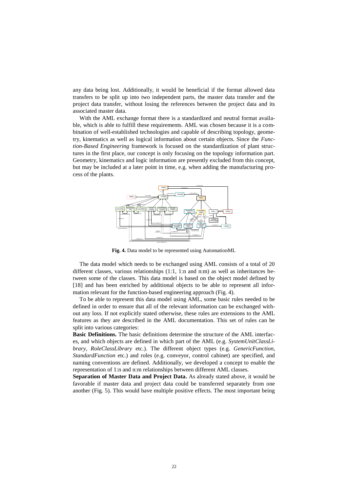any data being lost. Additionally, it would be beneficial if the format allowed data transfers to be split up into two independent parts, the master data transfer and the project data transfer, without losing the references between the project data and its associated master data.

With the AML exchange format there is a standardized and neutral format available, which is able to fulfill these requirements. AML was chosen because it is a combination of well-established technologies and capable of describing topology, geometry, kinematics as well as logical information about certain objects. Since the *Function-Based Engineering* framework is focused on the standardization of plant structures in the first place, our concept is only focusing on the topology information part. Geometry, kinematics and logic information are presently excluded from this concept, but may be included at a later point in time, e.g. when adding the manufacturing process of the plants.



**Fig. 4.** Data model to be represented using AutomationML

<span id="page-7-0"></span>The data model which needs to be exchanged using AML consists of a total of 20 different classes, various relationships (1:1, 1:n and n:m) as well as inheritances between some of the classes. This data model is based on the object model defined by [18] and has been enriched by additional objects to be able to represent all information relevant for the function-based engineering approach [\(Fig. 4\)](#page-7-0).

To be able to represent this data model using AML, some basic rules needed to be defined in order to ensure that all of the relevant information can be exchanged without any loss. If not explicitly stated otherwise, these rules are extensions to the AML features as they are described in the AML documentation. This set of rules can be split into various categories:

**Basic Definitions.** The basic definitions determine the structure of the AML interfaces, and which objects are defined in which part of the AML (e.g. *SystemUnitClassLibrary*, *RoleClassLibrary* etc.). The different object types (e.g. *GenericFunction*, *StandardFunction* etc.) and roles (e.g. conveyor, control cabinet) are specified, and naming conventions are defined. Additionally, we developed a concept to enable the representation of 1:n and n:m relationships between different AML classes.

**Separation of Master Data and Project Data.** As already stated above, it would be favorable if master data and project data could be transferred separately from one another [\(Fig. 5\)](#page-8-0). This would have multiple positive effects. The most important being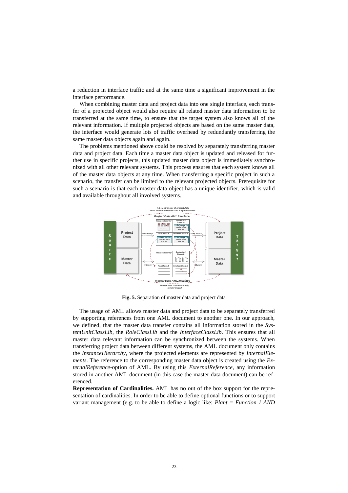a reduction in interface traffic and at the same time a significant improvement in the interface performance.

When combining master data and project data into one single interface, each transfer of a projected object would also require all related master data information to be transferred at the same time, to ensure that the target system also knows all of the relevant information. If multiple projected objects are based on the same master data, the interface would generate lots of traffic overhead by redundantly transferring the same master data objects again and again.

The problems mentioned above could be resolved by separately transferring master data and project data. Each time a master data object is updated and released for further use in specific projects, this updated master data object is immediately synchronized with all other relevant systems. This process ensures that each system knows all of the master data objects at any time. When transferring a specific project in such a scenario, the transfer can be limited to the relevant projected objects. Prerequisite for such a scenario is that each master data object has a unique identifier, which is valid and available throughout all involved systems.



**Fig. 5.** Separation of master data and project data

<span id="page-8-0"></span>The usage of AML allows master data and project data to be separately transferred by supporting references from one AML document to another one. In our approach, we defined, that the master data transfer contains all information stored in the *SystemUnitClassLib*, the *RoleClassLib* and the *InterfaceClassLib*. This ensures that all master data relevant information can be synchronized between the systems. When transferring project data between different systems, the AML document only contains the *InstanceHierarchy*, where the projected elements are represented by *InternalElements*. The reference to the corresponding master data object is created using the *ExternalReference*-option of AML. By using this *ExternalReference,* any information stored in another AML document (in this case the master data document) can be referenced.

**Representation of Cardinalities.** AML has no out of the box support for the representation of cardinalities. In order to be able to define optional functions or to support variant management (e.g. to be able to define a logic like: *Plant = Function 1 AND*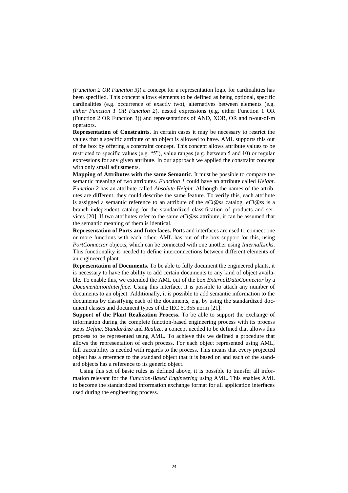*(Function 2 OR Function 3)*) a concept for a representation logic for cardinalities has been specified. This concept allows elements to be defined as being optional, specific cardinalities (e.g. occurrence of exactly two), alternatives between elements (e.g. *either Function 1 OR Function 2*), nested expressions (e.g. either Function 1 OR (Function 2 OR Function 3)) and representations of AND, XOR, OR and n-out-of-m operators.

**Representation of Constraints.** In certain cases it may be necessary to restrict the values that a specific attribute of an object is allowed to have. AML supports this out of the box by offering a constraint concept. This concept allows attribute values to be restricted to specific values (e.g. "5"), value ranges (e.g. between 5 and 10) or regular expressions for any given attribute. In our approach we applied the constraint concept with only small adjustments.

**Mapping of Attributes with the same Semantic.** It must be possible to compare the semantic meaning of two attributes. *Function 1* could have an attribute called *Height*. *Function 2* has an attribute called *Absolute Height*. Although the names of the attributes are different, they could describe the same feature. To verify this, each attribute is assigned a semantic reference to an attribute of the *eCl@ss* catalog. *eCl@ss* is a branch-independent catalog for the standardized classification of products and services [20]. If two attributes refer to the same *eCl@ss* attribute, it can be assumed that the semantic meaning of them is identical.

**Representation of Ports and Interfaces.** Ports and interfaces are used to connect one or more functions with each other. AML has out of the box support for this, using *PortConnector* objects, which can be connected with one another using *InternalLinks*. This functionality is needed to define interconnections between different elements of an engineered plant.

**Representation of Documents.** To be able to fully document the engineered plants, it is necessary to have the ability to add certain documents to any kind of object available. To enable this, we extended the AML out of the box *ExternalDataConnector* by a *DocumentationInterface*. Using this interface, it is possible to attach any number of documents to an object. Additionally, it is possible to add semantic information to the documents by classifying each of the documents, e.g. by using the standardized document classes and document types of the IEC 61355 norm [21].

**Support of the Plant Realization Process.** To be able to support the exchange of information during the complete function-based engineering process with its process steps *Define*, *Standardize* and *Realize*, a concept needed to be defined that allows this process to be represented using AML. To achieve this we defined a procedure that allows the representation of each process. For each object represented using AML, full traceability is needed with regards to the process. This means that every projected object has a reference to the standard object that it is based on and each of the standard objects has a reference to its generic object.

Using this set of basic rules as defined above, it is possible to transfer all information relevant for the *Function-Based Engineering* using AML. This enables AML to become the standardized information exchange format for all application interfaces used during the engineering process.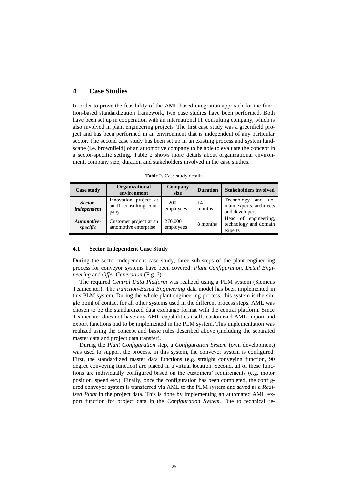### **4 Case Studies**

In order to prove the feasibility of the AML-based integration approach for the function-based standardization framework, two case studies have been performed. Both have been set up in cooperation with an international IT consulting company, which is also involved in plant engineering projects. The first case study was a greenfield project and has been performed in an environment that is independent of any particular sector. The second case study has been set up in an existing process and system landscape (i.e. brownfield) of an automotive company to be able to evaluate the concept in a sector-specific setting. [Table 2](#page-10-0) shows more details about organizational environment, company size, duration and stakeholders involved in the case studies.

<span id="page-10-0"></span>

| Case study              | Organizational<br>environment                          | Company<br>size      | <b>Duration</b> | <b>Stakeholders involved</b>                                        |
|-------------------------|--------------------------------------------------------|----------------------|-----------------|---------------------------------------------------------------------|
| Sector-<br>independent  | Innovation project at<br>an IT consulting com-<br>pany | 1.200<br>employees   | 14<br>months    | Technology<br>and do-<br>main experts, architects<br>and developers |
| Automotive-<br>specific | Customer project at an<br>automotive enterprise        | 270,000<br>employees | 8 months        | Head of engineering,<br>technology and domain<br>experts            |

**Table 2.** Case study details

#### **4.1 Sector Independent Case Study**

During the sector-independent case study, three sub-steps of the plant engineering process for conveyor systems have been covered: *Plant Configuration*, *Detail Engineering* and *Offer Generation* [\(Fig. 6\)](#page-11-0).

The required *Central Data Platform* was realized using a PLM system (Siemens Teamcenter). The *Function-Based Engineering* data model has been implemented in this PLM system. During the whole plant engineering process, this system is the single point of contact for all other systems used in the different process steps. AML was chosen to be the standardized data exchange format with the central platform. Since Teamcenter does not have any AML capabilities itself, customized AML import and export functions had to be implemented in the PLM system. This implementation was realized using the concept and basic rules described above (including the separated master data and project data transfer).

During the *Plant Configuration* step, a *Configuration System* (own development) was used to support the process. In this system, the conveyor system is configured. First, the standardized master data functions (e.g. straight conveying function, 90 degree conveying function) are placed in a virtual location. Second, all of these functions are individually configured based on the customers' requirements (e.g. motor position, speed etc.). Finally, once the configuration has been completed, the configured conveyor system is transferred via AML to the PLM system and saved as a *Realized Plant* in the project data. This is done by implementing an automated AML export function for project data in the *Configuration System*. Due to technical re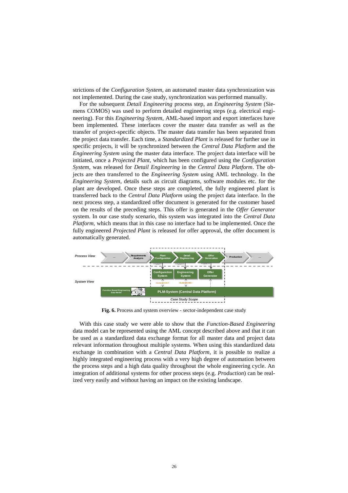strictions of the *Configuration System*, an automated master data synchronization was not implemented. During the case study, synchronization was performed manually.

For the subsequent *Detail Engineering* process step, an *Engineering System* (Siemens COMOS) was used to perform detailed engineering steps (e.g. electrical engineering). For this *Engineering System*, AML-based import and export interfaces have been implemented. These interfaces cover the master data transfer as well as the transfer of project-specific objects. The master data transfer has been separated from the project data transfer. Each time, a *Standardized Plant* is released for further use in specific projects, it will be synchronized between the *Central Data Platform* and the *Engineering System* using the master data interface. The project data interface will be initiated, once a *Projected Plant,* which has been configured using the *Configuration System*, was released for *Detail Engineering* in the *Central Data Platform*. The objects are then transferred to the *Engineering System* using AML technology. In the *Engineering System*, details such as circuit diagrams, software modules etc. for the plant are developed. Once these steps are completed, the fully engineered plant is transferred back to the *Central Data Platform* using the project data interface. In the next process step, a standardized offer document is generated for the customer based on the results of the preceding steps. This offer is generated in the *Offer Generator* system. In our case study scenario, this system was integrated into the *Central Data Platform,* which means that in this case no interface had to be implemented. Once the fully engineered *Projected Plant* is released for offer approval, the offer document is automatically generated.



**Fig. 6.** Process and system overview - sector-independent case study

<span id="page-11-0"></span>With this case study we were able to show that the *Function-Based Engineering* data model can be represented using the AML concept described above and that it can be used as a standardized data exchange format for all master data and project data relevant information throughout multiple systems. When using this standardized data exchange in combination with a *Central Data Platform,* it is possible to realize a highly integrated engineering process with a very high degree of automation between the process steps and a high data quality throughout the whole engineering cycle. An integration of additional systems for other process steps (e.g. *Production*) can be realized very easily and without having an impact on the existing landscape.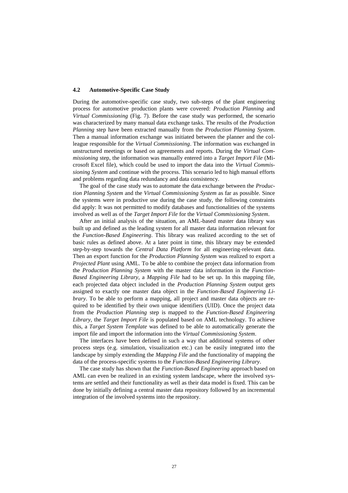#### **4.2 Automotive-Specific Case Study**

During the automotive-specific case study, two sub-steps of the plant engineering process for automotive production plants were covered: *Production Planning* and *Virtual Commissioning* [\(Fig. 7\)](#page-13-0). Before the case study was performed, the scenario was characterized by many manual data exchange tasks. The results of the *Production Planning* step have been extracted manually from the *Production Planning System*. Then a manual information exchange was initiated between the planner and the colleague responsible for the *Virtual Commissioning*. The information was exchanged in unstructured meetings or based on agreements and reports. During the *Virtual Commissioning* step, the information was manually entered into a *Target Import File* (Microsoft Excel file), which could be used to import the data into the *Virtual Commissioning System* and continue with the process. This scenario led to high manual efforts and problems regarding data redundancy and data consistency.

The goal of the case study was to automate the data exchange between the *Production Planning System* and the *Virtual Commissioning System* as far as possible. Since the systems were in productive use during the case study, the following constraints did apply: It was not permitted to modify databases and functionalities of the systems involved as well as of the *Target Import File* for the *Virtual Commissioning System*.

After an initial analysis of the situation, an AML-based master data library was built up and defined as the leading system for all master data information relevant for the *Function-Based Engineering*. This library was realized according to the set of basic rules as defined above. At a later point in time, this library may be extended step-by-step towards the *Central Data Platform* for all engineering-relevant data. Then an export function for the *Production Planning System* was realized to export a *Projected Plant* using AML. To be able to combine the project data information from the *Production Planning System* with the master data information in the *Function-Based Engineering Library*, a *Mapping File* had to be set up. In this mapping file, each projected data object included in the *Production Planning System* output gets assigned to exactly one master data object in the *Function-Based Engineering Library*. To be able to perform a mapping, all project and master data objects are required to be identified by their own unique identifiers (UID). Once the project data from the *Production Planning* step is mapped to the *Function-Based Engineering Library*, the *Target Import File* is populated based on AML technology. To achieve this, a *Target System Template* was defined to be able to automatically generate the import file and import the information into the *Virtual Commissioning System*.

The interfaces have been defined in such a way that additional systems of other process steps (e.g. simulation, visualization etc.) can be easily integrated into the landscape by simply extending the *Mapping File* and the functionality of mapping the data of the process-specific systems to the *Function-Based Engineering Library*.

The case study has shown that the *Function-Based Engineering* approach based on AML can even be realized in an existing system landscape, where the involved systems are settled and their functionality as well as their data model is fixed. This can be done by initially defining a central master data repository followed by an incremental integration of the involved systems into the repository.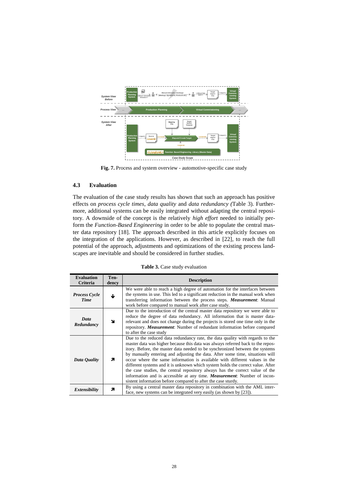

**Fig. 7.** Process and system overview - automotive-specific case study

#### <span id="page-13-0"></span>**4.3 Evaluation**

The evaluation of the case study results has shown that such an approach has positive effects on *process cycle times*, *data quality* and *data redundancy (*[Table 3\)](#page-13-1). Furthermore, additional systems can be easily integrated without adapting the central repository. A downside of the concept is the relatively *high effort* needed to initially perform the *Function-Based Engineering* in order to be able to populate the central master data repository [18]. The approach described in this article explicitly focuses on the integration of the applications. However, as described in [22], to reach the full potential of the approach, adjustments and optimizations of the existing process landscapes are inevitable and should be considered in further studies.

<span id="page-13-1"></span>

| <b>Evaluation</b><br><b>Criteria</b> | Ten-<br>dency | <b>Description</b>                                                                                                                                                                                                                                                                                                                                                                                                                                                                                                                                                                                                                                                                                                                      |
|--------------------------------------|---------------|-----------------------------------------------------------------------------------------------------------------------------------------------------------------------------------------------------------------------------------------------------------------------------------------------------------------------------------------------------------------------------------------------------------------------------------------------------------------------------------------------------------------------------------------------------------------------------------------------------------------------------------------------------------------------------------------------------------------------------------------|
| <b>Process Cycle</b><br>Time         |               | We were able to reach a high degree of automation for the interfaces between<br>the systems in use. This led to a significant reduction in the manual work when<br>transferring information between the process steps. <i>Measurement</i> : Manual<br>work before compared to manual work after case study.                                                                                                                                                                                                                                                                                                                                                                                                                             |
| Data<br>Redundancy                   | צ             | Due to the introduction of the central master data repository we were able to<br>reduce the degree of data redundancy. All information that is master data-<br>relevant and does not change during the projects is stored one time only in the<br>repository. <i>Measurement</i> : Number of redundant information before compared<br>to after the case study                                                                                                                                                                                                                                                                                                                                                                           |
| Data Quality                         | Я             | Due to the reduced data redundancy rate, the data quality with regards to the<br>master data was higher because this data was always referred back to the repos-<br>itory. Before, the master data needed to be synchronized between the systems<br>by manually entering and adjusting the data. After some time, situations will<br>occur where the same information is available with different values in the<br>different systems and it is unknown which system holds the correct value. After<br>the case studies, the central repository always has the correct value of the<br>information and is accessible at any time. <b>Measurement</b> : Number of incon-<br>sistent information before compared to after the case sturdy. |
| Extensibility                        | Я             | By using a central master data repository in combination with the AML inter-<br>face, new systems can be integrated very easily (as shown by [23]).                                                                                                                                                                                                                                                                                                                                                                                                                                                                                                                                                                                     |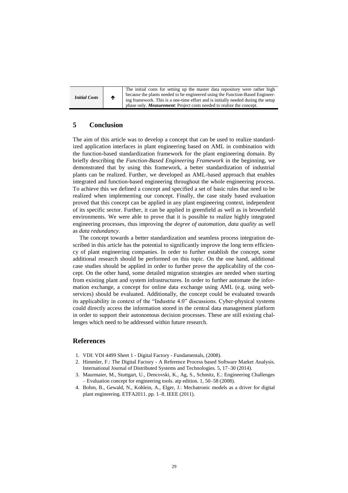*Initial Costs*

The initial costs for setting up the master data repository were rather high because the plants needed to be engineered using the Function-Based Engineering framework. This is a one-time effort and is initially needed during the setup phase only. *Measurement*: Project costs needed to realize the concept.

## **5 Conclusion**

The aim of this article was to develop a concept that can be used to realize standardized application interfaces in plant engineering based on AML in combination with the function-based standardization framework for the plant engineering domain. By briefly describing the *Function-Based Engineering Framework* in the beginning, we demonstrated that by using this framework, a better standardization of industrial plants can be realized. Further, we developed an AML-based approach that enables integrated and function-based engineering throughout the whole engineering process. To achieve this we defined a concept and specified a set of basic rules that need to be realized when implementing our concept. Finally, the case study based evaluation proved that this concept can be applied in any plant engineering context, independent of its specific sector. Further, it can be applied in greenfield as well as in brownfield environments. We were able to prove that it is possible to realize highly integrated engineering processes, thus improving the *degree of automation*, *data quality* as well as *data redundancy*.

The concept towards a better standardization and seamless process integration described in this article has the potential to significantly improve the long term efficiency of plant engineering companies. In order to further establish the concept, some additional research should be performed on this topic. On the one hand, additional case studies should be applied in order to further prove the applicability of the concept. On the other hand, some detailed migration strategies are needed when starting from existing plant and system infrastructures. In order to further automate the information exchange, a concept for online data exchange using AML (e.g. using webservices) should be evaluated. Additionally, the concept could be evaluated towards its applicability in context of the "Industrie 4.0" discussions. Cyber-physical systems could directly access the information stored in the central data management platform in order to support their autonomous decision processes. These are still existing challenges which need to be addressed within future research.

#### **References**

- 1. VDI: VDI 4499 Sheet 1 Digital Factory Fundamentals, (2008).
- 2. Himmler, F.: The Digital Factory A Reference Process based Software Market Analysis. International Journal of Distributed Systems and Technologies. 5, 17–30 (2014).
- 3. Maurmaier, M., Stuttgart, U., Dencovski, K., Ag, S., Schmitz, E.: Engineering Challenges – Evaluation concept for engineering tools. atp edition. 1, 50–58 (2008).
- 4. Bohm, B., Gewald, N., Kohlein, A., Elger, J.: Mechatronic models as a driver for digital plant engineering. ETFA2011. pp. 1–8. IEEE (2011).